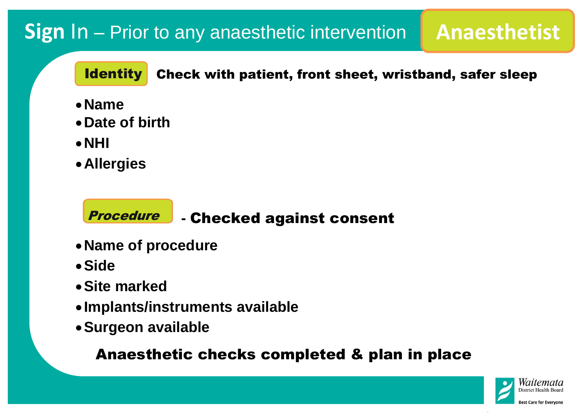# **Sign In – Prior to any anaesthetic intervention | Anaesthetist**

### Check with patient, front sheet, wristband, safer sleep **Identity**

- **Name**
- **Date of birth**
- **NHI**
- **Allergies**

- **Name of procedure** e
- **Side**
- **Site marked**
- **Implants/instruments available**
- **Surgeon available**

### **-** Checked against consent Procedure

Anaesthetic checks completed & plan in place









**Best Care for Evervone**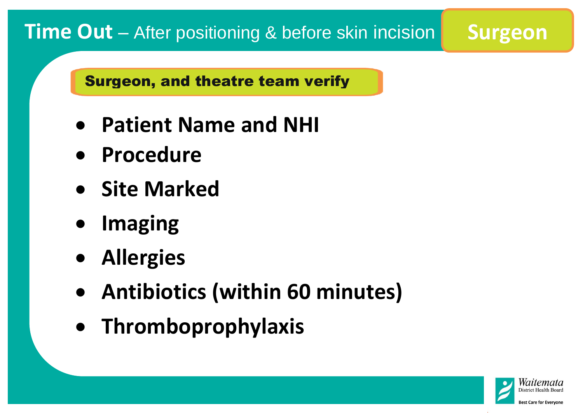- **Patient Name and NHI**
- **Procedure**
- **Site Marked**
- **Imaging**
- **Allergies**
- **Antibiotics (within 60 minutes)**
- **Thromboprophylaxis**

**Team introductions**





**Best Care for Evervone** 

# **Time Out** – After positioning & before skin incision **Surgeon**

## Surgeon, and theatre team verify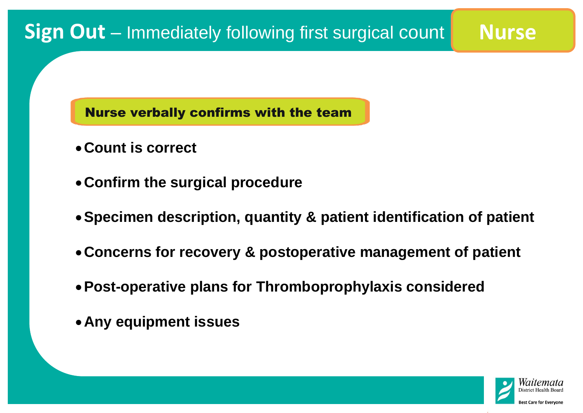- **Count is correct**
- **Confirm the surgical procedure**
- **Specimen description, quantity & patient identification of patient**
- **Concerns for recovery & postoperative management of patient**
- **Post-operative plans for Thromboprophylaxis considered**
- **Any equipment issues**







# **Sign Out** – Immediately following first surgical count **Nurse**

Nurse verbally confirms with the team